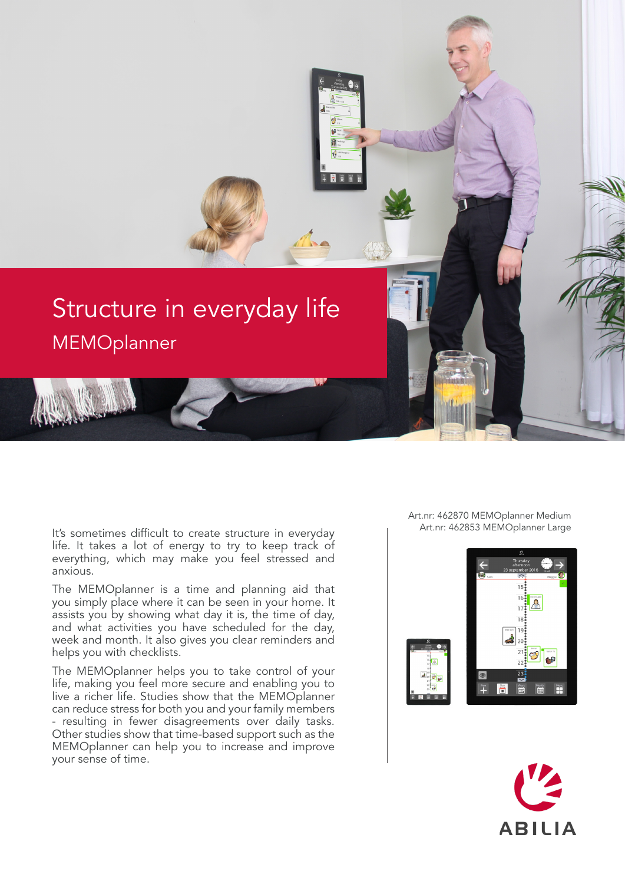

It's sometimes difficult to create structure in everyday Fig. Art.nr: 462853 MEMOplanner Large life. It takes a lot of energy to try to keep track of everything, which may make you feel stressed and anxious.

The MEMOplanner is a time and planning aid that you simply place where it can be seen in your home. It assists you by showing what day it is, the time of day, and what activities you have scheduled for the day, week and month. It also gives you clear reminders and helps you with checklists.

The MEMOplanner helps you to take control of your life, making you feel more secure and enabling you to live a richer life. Studies show that the MEMOplanner can reduce stress for both you and your family members - resulting in fewer disagreements over daily tasks. Other studies show that time-based support such as the MEMOplanner can help you to increase and improve your sense of time.

Art.nr: 462870 MEMOplanner Medium